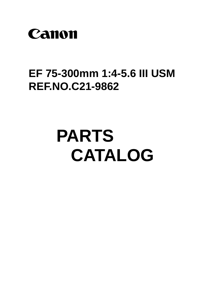

## EF 75-300mm 1:4-5.6 III USM **REF.NO.C21-9862**

## **PARTS** CATALOG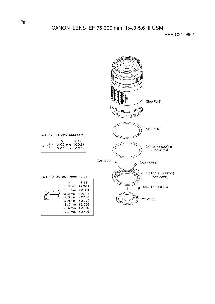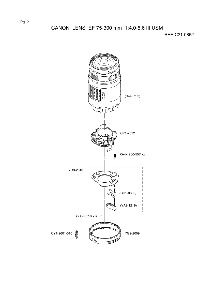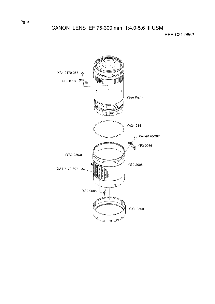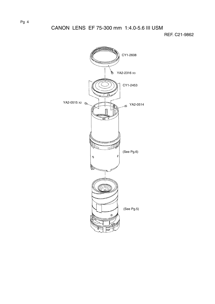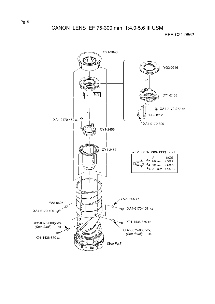

Pg 5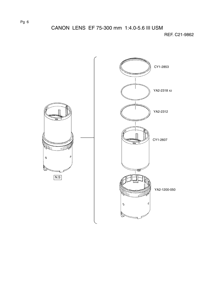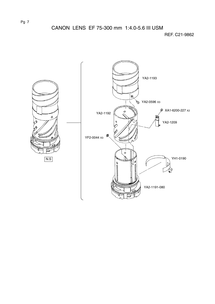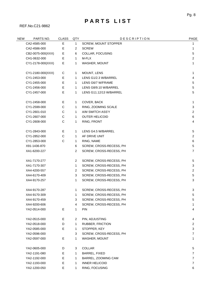## PARTS LIST

REF.No.C21-9862

| Ε<br>SCREW, MOUNT STOPPER<br>CA2-4585-000<br>$\mathbf{1}$<br>1<br>Е<br>CA2-4586-000<br>$\overline{2}$<br><b>SCREW</b><br>1<br>E<br>CB2-0075-000(XXX)<br>6<br>COLLAR, FOCUSING<br>5<br>Ε<br>M-FLX<br>CH1-0632-000<br>$\overline{2}$<br>1<br>Ε<br>CY1-2178-000(XXX)<br>1<br>WASHER, MOUNT<br>1<br>CY1-2180-000(XXX)<br>MOUNT, LENS<br>С<br>1<br>1<br>CY1-2453-000<br>Е<br>LENS G1/2.3 W/BARREL<br>4<br>1<br>E<br>LENS G6/7 W/FRAME<br>5<br>CY1-2455-000<br>$\mathbf{1}$<br>Ε<br>CY1-2456-000<br>$\,$ 5 $\,$<br>LENS G8/9.10 W/BARREL<br>1<br>E<br>CY1-2457-000<br>LENS G11.12/13 W/BARREL<br>5<br>1<br>Е<br>COVER, BACK<br>CY1-2458-000<br>1<br>1<br>C<br>RING, ZOOMING SCALE<br>CY1-2599-000<br>1<br>3<br>C<br>A/M SWITCH ASS'Y<br>CY1-2601-010<br>$\mathbf{1}$<br>$\overline{2}$<br>C<br>CY1-2607-000<br><b>OUTER HELICOID</b><br>6<br>1<br>C<br>CY1-2608-000<br>RING, FRONT<br>4<br>1<br>Ε<br>LENS G4.5 W/BARREL<br>CY1-2843-000<br>1<br>5<br>C<br>AF DRIVE UNIT<br>CY1-2852-000<br>$\overline{2}$<br>1<br>C<br>CY1-2853-000<br>RING, NAME<br>1<br>6<br>6<br>SCREW, CROSS-RECESS, PH<br>5<br>X91-1436-870<br>$\overline{2}$<br>XA1-6200-227<br>SCREW, CROSS-RECESS, PH<br>$\overline{7}$<br>XA1-7170-277<br>$\overline{c}$<br>SCREW, CROSS-RECESS, PH<br>$\,$ 5 $\,$<br>$\mathbf{1}$<br>3<br>XA1-7170-307<br>SCREW, CROSS-RECESS, PH<br>$\overline{2}$<br>SCREW, CROSS-RECESS, PH<br>$\overline{2}$<br>XA4-4200-557<br>XA4-6170-409<br>3<br>SCREW, CROSS-RECESS, PH<br>5<br>XA4-9170-257<br>1<br>SCREW, CROSS-RECESS, PH<br>3<br>XA4-9170-287<br>SCREW, CROSS-RECESS, PH<br>1<br>3<br>XA4-9170-309<br>1<br>SCREW, CROSS-RECESS, PH<br>5<br>XA4-9170-459<br>3<br>SCREW, CROSS-RECESS, PH<br>5<br>4<br>SCREW, CROSS-RECESS, PH<br>XA4-9200-606<br>1<br>Ε<br>1<br><b>PIN</b><br>YA2-0514-000<br>4<br>Е<br>YA2-0515-000<br>$\overline{2}$<br>PIN, ADJUSTING<br>4<br>D<br>YA2-0518-000<br>1<br><b>RUBBER, FRICTION</b><br>$\overline{2}$<br>Ε<br>YA2-0585-000<br>STOPPER, KEY<br>1<br>3<br>YA2-0596-000<br>3<br>SCREW, CROSS-RECESS, PH<br>7<br>E<br>$\mathbf{1}$<br>YA2-0597-000<br>WASHER, MOUNT<br>1<br>YA2-0605-000<br>COLLAR<br>3<br>5<br>D<br>BARREL, FIXED<br>YA2-1191-080<br>Е<br>1<br>7<br>Ε<br>BARREL, ZOOMING CAM<br>YA2-1192-000<br>1<br>7<br>Ε<br>YA2-1193-000<br><b>INNER HELICOID</b><br>7<br>1<br>E<br>YA2-1200-050<br>RING, FOCUSING<br>1<br>6 | <b>NEW</b> | PARTS NO. | <b>CLASS</b> | QTY | <b>DESCRIPTION</b> | PAGE |
|-------------------------------------------------------------------------------------------------------------------------------------------------------------------------------------------------------------------------------------------------------------------------------------------------------------------------------------------------------------------------------------------------------------------------------------------------------------------------------------------------------------------------------------------------------------------------------------------------------------------------------------------------------------------------------------------------------------------------------------------------------------------------------------------------------------------------------------------------------------------------------------------------------------------------------------------------------------------------------------------------------------------------------------------------------------------------------------------------------------------------------------------------------------------------------------------------------------------------------------------------------------------------------------------------------------------------------------------------------------------------------------------------------------------------------------------------------------------------------------------------------------------------------------------------------------------------------------------------------------------------------------------------------------------------------------------------------------------------------------------------------------------------------------------------------------------------------------------------------------------------------------------------------------------------------------------------------------------------------------------------------------------------------------------------------------------------------------------------------------------------------------------------------------------------------------------------------------------------------------------------------------------------------------------------------------------------------------------------------------|------------|-----------|--------------|-----|--------------------|------|
|                                                                                                                                                                                                                                                                                                                                                                                                                                                                                                                                                                                                                                                                                                                                                                                                                                                                                                                                                                                                                                                                                                                                                                                                                                                                                                                                                                                                                                                                                                                                                                                                                                                                                                                                                                                                                                                                                                                                                                                                                                                                                                                                                                                                                                                                                                                                                             |            |           |              |     |                    |      |
|                                                                                                                                                                                                                                                                                                                                                                                                                                                                                                                                                                                                                                                                                                                                                                                                                                                                                                                                                                                                                                                                                                                                                                                                                                                                                                                                                                                                                                                                                                                                                                                                                                                                                                                                                                                                                                                                                                                                                                                                                                                                                                                                                                                                                                                                                                                                                             |            |           |              |     |                    |      |
|                                                                                                                                                                                                                                                                                                                                                                                                                                                                                                                                                                                                                                                                                                                                                                                                                                                                                                                                                                                                                                                                                                                                                                                                                                                                                                                                                                                                                                                                                                                                                                                                                                                                                                                                                                                                                                                                                                                                                                                                                                                                                                                                                                                                                                                                                                                                                             |            |           |              |     |                    |      |
|                                                                                                                                                                                                                                                                                                                                                                                                                                                                                                                                                                                                                                                                                                                                                                                                                                                                                                                                                                                                                                                                                                                                                                                                                                                                                                                                                                                                                                                                                                                                                                                                                                                                                                                                                                                                                                                                                                                                                                                                                                                                                                                                                                                                                                                                                                                                                             |            |           |              |     |                    |      |
|                                                                                                                                                                                                                                                                                                                                                                                                                                                                                                                                                                                                                                                                                                                                                                                                                                                                                                                                                                                                                                                                                                                                                                                                                                                                                                                                                                                                                                                                                                                                                                                                                                                                                                                                                                                                                                                                                                                                                                                                                                                                                                                                                                                                                                                                                                                                                             |            |           |              |     |                    |      |
|                                                                                                                                                                                                                                                                                                                                                                                                                                                                                                                                                                                                                                                                                                                                                                                                                                                                                                                                                                                                                                                                                                                                                                                                                                                                                                                                                                                                                                                                                                                                                                                                                                                                                                                                                                                                                                                                                                                                                                                                                                                                                                                                                                                                                                                                                                                                                             |            |           |              |     |                    |      |
|                                                                                                                                                                                                                                                                                                                                                                                                                                                                                                                                                                                                                                                                                                                                                                                                                                                                                                                                                                                                                                                                                                                                                                                                                                                                                                                                                                                                                                                                                                                                                                                                                                                                                                                                                                                                                                                                                                                                                                                                                                                                                                                                                                                                                                                                                                                                                             |            |           |              |     |                    |      |
|                                                                                                                                                                                                                                                                                                                                                                                                                                                                                                                                                                                                                                                                                                                                                                                                                                                                                                                                                                                                                                                                                                                                                                                                                                                                                                                                                                                                                                                                                                                                                                                                                                                                                                                                                                                                                                                                                                                                                                                                                                                                                                                                                                                                                                                                                                                                                             |            |           |              |     |                    |      |
|                                                                                                                                                                                                                                                                                                                                                                                                                                                                                                                                                                                                                                                                                                                                                                                                                                                                                                                                                                                                                                                                                                                                                                                                                                                                                                                                                                                                                                                                                                                                                                                                                                                                                                                                                                                                                                                                                                                                                                                                                                                                                                                                                                                                                                                                                                                                                             |            |           |              |     |                    |      |
|                                                                                                                                                                                                                                                                                                                                                                                                                                                                                                                                                                                                                                                                                                                                                                                                                                                                                                                                                                                                                                                                                                                                                                                                                                                                                                                                                                                                                                                                                                                                                                                                                                                                                                                                                                                                                                                                                                                                                                                                                                                                                                                                                                                                                                                                                                                                                             |            |           |              |     |                    |      |
|                                                                                                                                                                                                                                                                                                                                                                                                                                                                                                                                                                                                                                                                                                                                                                                                                                                                                                                                                                                                                                                                                                                                                                                                                                                                                                                                                                                                                                                                                                                                                                                                                                                                                                                                                                                                                                                                                                                                                                                                                                                                                                                                                                                                                                                                                                                                                             |            |           |              |     |                    |      |
|                                                                                                                                                                                                                                                                                                                                                                                                                                                                                                                                                                                                                                                                                                                                                                                                                                                                                                                                                                                                                                                                                                                                                                                                                                                                                                                                                                                                                                                                                                                                                                                                                                                                                                                                                                                                                                                                                                                                                                                                                                                                                                                                                                                                                                                                                                                                                             |            |           |              |     |                    |      |
|                                                                                                                                                                                                                                                                                                                                                                                                                                                                                                                                                                                                                                                                                                                                                                                                                                                                                                                                                                                                                                                                                                                                                                                                                                                                                                                                                                                                                                                                                                                                                                                                                                                                                                                                                                                                                                                                                                                                                                                                                                                                                                                                                                                                                                                                                                                                                             |            |           |              |     |                    |      |
|                                                                                                                                                                                                                                                                                                                                                                                                                                                                                                                                                                                                                                                                                                                                                                                                                                                                                                                                                                                                                                                                                                                                                                                                                                                                                                                                                                                                                                                                                                                                                                                                                                                                                                                                                                                                                                                                                                                                                                                                                                                                                                                                                                                                                                                                                                                                                             |            |           |              |     |                    |      |
|                                                                                                                                                                                                                                                                                                                                                                                                                                                                                                                                                                                                                                                                                                                                                                                                                                                                                                                                                                                                                                                                                                                                                                                                                                                                                                                                                                                                                                                                                                                                                                                                                                                                                                                                                                                                                                                                                                                                                                                                                                                                                                                                                                                                                                                                                                                                                             |            |           |              |     |                    |      |
|                                                                                                                                                                                                                                                                                                                                                                                                                                                                                                                                                                                                                                                                                                                                                                                                                                                                                                                                                                                                                                                                                                                                                                                                                                                                                                                                                                                                                                                                                                                                                                                                                                                                                                                                                                                                                                                                                                                                                                                                                                                                                                                                                                                                                                                                                                                                                             |            |           |              |     |                    |      |
|                                                                                                                                                                                                                                                                                                                                                                                                                                                                                                                                                                                                                                                                                                                                                                                                                                                                                                                                                                                                                                                                                                                                                                                                                                                                                                                                                                                                                                                                                                                                                                                                                                                                                                                                                                                                                                                                                                                                                                                                                                                                                                                                                                                                                                                                                                                                                             |            |           |              |     |                    |      |
|                                                                                                                                                                                                                                                                                                                                                                                                                                                                                                                                                                                                                                                                                                                                                                                                                                                                                                                                                                                                                                                                                                                                                                                                                                                                                                                                                                                                                                                                                                                                                                                                                                                                                                                                                                                                                                                                                                                                                                                                                                                                                                                                                                                                                                                                                                                                                             |            |           |              |     |                    |      |
|                                                                                                                                                                                                                                                                                                                                                                                                                                                                                                                                                                                                                                                                                                                                                                                                                                                                                                                                                                                                                                                                                                                                                                                                                                                                                                                                                                                                                                                                                                                                                                                                                                                                                                                                                                                                                                                                                                                                                                                                                                                                                                                                                                                                                                                                                                                                                             |            |           |              |     |                    |      |
|                                                                                                                                                                                                                                                                                                                                                                                                                                                                                                                                                                                                                                                                                                                                                                                                                                                                                                                                                                                                                                                                                                                                                                                                                                                                                                                                                                                                                                                                                                                                                                                                                                                                                                                                                                                                                                                                                                                                                                                                                                                                                                                                                                                                                                                                                                                                                             |            |           |              |     |                    |      |
|                                                                                                                                                                                                                                                                                                                                                                                                                                                                                                                                                                                                                                                                                                                                                                                                                                                                                                                                                                                                                                                                                                                                                                                                                                                                                                                                                                                                                                                                                                                                                                                                                                                                                                                                                                                                                                                                                                                                                                                                                                                                                                                                                                                                                                                                                                                                                             |            |           |              |     |                    |      |
|                                                                                                                                                                                                                                                                                                                                                                                                                                                                                                                                                                                                                                                                                                                                                                                                                                                                                                                                                                                                                                                                                                                                                                                                                                                                                                                                                                                                                                                                                                                                                                                                                                                                                                                                                                                                                                                                                                                                                                                                                                                                                                                                                                                                                                                                                                                                                             |            |           |              |     |                    |      |
|                                                                                                                                                                                                                                                                                                                                                                                                                                                                                                                                                                                                                                                                                                                                                                                                                                                                                                                                                                                                                                                                                                                                                                                                                                                                                                                                                                                                                                                                                                                                                                                                                                                                                                                                                                                                                                                                                                                                                                                                                                                                                                                                                                                                                                                                                                                                                             |            |           |              |     |                    |      |
|                                                                                                                                                                                                                                                                                                                                                                                                                                                                                                                                                                                                                                                                                                                                                                                                                                                                                                                                                                                                                                                                                                                                                                                                                                                                                                                                                                                                                                                                                                                                                                                                                                                                                                                                                                                                                                                                                                                                                                                                                                                                                                                                                                                                                                                                                                                                                             |            |           |              |     |                    |      |
|                                                                                                                                                                                                                                                                                                                                                                                                                                                                                                                                                                                                                                                                                                                                                                                                                                                                                                                                                                                                                                                                                                                                                                                                                                                                                                                                                                                                                                                                                                                                                                                                                                                                                                                                                                                                                                                                                                                                                                                                                                                                                                                                                                                                                                                                                                                                                             |            |           |              |     |                    |      |
|                                                                                                                                                                                                                                                                                                                                                                                                                                                                                                                                                                                                                                                                                                                                                                                                                                                                                                                                                                                                                                                                                                                                                                                                                                                                                                                                                                                                                                                                                                                                                                                                                                                                                                                                                                                                                                                                                                                                                                                                                                                                                                                                                                                                                                                                                                                                                             |            |           |              |     |                    |      |
|                                                                                                                                                                                                                                                                                                                                                                                                                                                                                                                                                                                                                                                                                                                                                                                                                                                                                                                                                                                                                                                                                                                                                                                                                                                                                                                                                                                                                                                                                                                                                                                                                                                                                                                                                                                                                                                                                                                                                                                                                                                                                                                                                                                                                                                                                                                                                             |            |           |              |     |                    |      |
|                                                                                                                                                                                                                                                                                                                                                                                                                                                                                                                                                                                                                                                                                                                                                                                                                                                                                                                                                                                                                                                                                                                                                                                                                                                                                                                                                                                                                                                                                                                                                                                                                                                                                                                                                                                                                                                                                                                                                                                                                                                                                                                                                                                                                                                                                                                                                             |            |           |              |     |                    |      |
|                                                                                                                                                                                                                                                                                                                                                                                                                                                                                                                                                                                                                                                                                                                                                                                                                                                                                                                                                                                                                                                                                                                                                                                                                                                                                                                                                                                                                                                                                                                                                                                                                                                                                                                                                                                                                                                                                                                                                                                                                                                                                                                                                                                                                                                                                                                                                             |            |           |              |     |                    |      |
|                                                                                                                                                                                                                                                                                                                                                                                                                                                                                                                                                                                                                                                                                                                                                                                                                                                                                                                                                                                                                                                                                                                                                                                                                                                                                                                                                                                                                                                                                                                                                                                                                                                                                                                                                                                                                                                                                                                                                                                                                                                                                                                                                                                                                                                                                                                                                             |            |           |              |     |                    |      |
|                                                                                                                                                                                                                                                                                                                                                                                                                                                                                                                                                                                                                                                                                                                                                                                                                                                                                                                                                                                                                                                                                                                                                                                                                                                                                                                                                                                                                                                                                                                                                                                                                                                                                                                                                                                                                                                                                                                                                                                                                                                                                                                                                                                                                                                                                                                                                             |            |           |              |     |                    |      |
|                                                                                                                                                                                                                                                                                                                                                                                                                                                                                                                                                                                                                                                                                                                                                                                                                                                                                                                                                                                                                                                                                                                                                                                                                                                                                                                                                                                                                                                                                                                                                                                                                                                                                                                                                                                                                                                                                                                                                                                                                                                                                                                                                                                                                                                                                                                                                             |            |           |              |     |                    |      |
|                                                                                                                                                                                                                                                                                                                                                                                                                                                                                                                                                                                                                                                                                                                                                                                                                                                                                                                                                                                                                                                                                                                                                                                                                                                                                                                                                                                                                                                                                                                                                                                                                                                                                                                                                                                                                                                                                                                                                                                                                                                                                                                                                                                                                                                                                                                                                             |            |           |              |     |                    |      |
|                                                                                                                                                                                                                                                                                                                                                                                                                                                                                                                                                                                                                                                                                                                                                                                                                                                                                                                                                                                                                                                                                                                                                                                                                                                                                                                                                                                                                                                                                                                                                                                                                                                                                                                                                                                                                                                                                                                                                                                                                                                                                                                                                                                                                                                                                                                                                             |            |           |              |     |                    |      |
|                                                                                                                                                                                                                                                                                                                                                                                                                                                                                                                                                                                                                                                                                                                                                                                                                                                                                                                                                                                                                                                                                                                                                                                                                                                                                                                                                                                                                                                                                                                                                                                                                                                                                                                                                                                                                                                                                                                                                                                                                                                                                                                                                                                                                                                                                                                                                             |            |           |              |     |                    |      |
|                                                                                                                                                                                                                                                                                                                                                                                                                                                                                                                                                                                                                                                                                                                                                                                                                                                                                                                                                                                                                                                                                                                                                                                                                                                                                                                                                                                                                                                                                                                                                                                                                                                                                                                                                                                                                                                                                                                                                                                                                                                                                                                                                                                                                                                                                                                                                             |            |           |              |     |                    |      |
|                                                                                                                                                                                                                                                                                                                                                                                                                                                                                                                                                                                                                                                                                                                                                                                                                                                                                                                                                                                                                                                                                                                                                                                                                                                                                                                                                                                                                                                                                                                                                                                                                                                                                                                                                                                                                                                                                                                                                                                                                                                                                                                                                                                                                                                                                                                                                             |            |           |              |     |                    |      |
|                                                                                                                                                                                                                                                                                                                                                                                                                                                                                                                                                                                                                                                                                                                                                                                                                                                                                                                                                                                                                                                                                                                                                                                                                                                                                                                                                                                                                                                                                                                                                                                                                                                                                                                                                                                                                                                                                                                                                                                                                                                                                                                                                                                                                                                                                                                                                             |            |           |              |     |                    |      |
|                                                                                                                                                                                                                                                                                                                                                                                                                                                                                                                                                                                                                                                                                                                                                                                                                                                                                                                                                                                                                                                                                                                                                                                                                                                                                                                                                                                                                                                                                                                                                                                                                                                                                                                                                                                                                                                                                                                                                                                                                                                                                                                                                                                                                                                                                                                                                             |            |           |              |     |                    |      |
|                                                                                                                                                                                                                                                                                                                                                                                                                                                                                                                                                                                                                                                                                                                                                                                                                                                                                                                                                                                                                                                                                                                                                                                                                                                                                                                                                                                                                                                                                                                                                                                                                                                                                                                                                                                                                                                                                                                                                                                                                                                                                                                                                                                                                                                                                                                                                             |            |           |              |     |                    |      |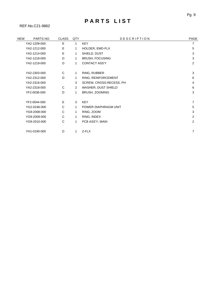## PARTS LIST

REF.No.C21-9862

| <b>NEW</b> | PARTS NO.    | <b>CLASS</b> | QTY            | <b>DESCRIPTION</b>      | PAGE           |
|------------|--------------|--------------|----------------|-------------------------|----------------|
|            | YA2-1209-000 | E            | $\mathbf{1}$   | <b>KEY</b>              | $\overline{7}$ |
|            | YA2-1212-000 | Е            | 1              | HOLDER, EMD-FLX         | 5              |
|            | YA2-1214-000 | E            | 1              | SHIELD, DUST            | 3              |
|            | YA2-1218-000 | D            | $\mathbf{1}$   | <b>BRUSH, FOCUSING</b>  | 3              |
|            | YA2-1219-000 | D            | 1              | <b>CONTACT ASS'Y</b>    | 2              |
|            |              |              |                |                         |                |
|            | YA2-2303-000 | C            | $\mathbf{1}$   | RING, RUBBER            | 3              |
|            | YA2-2312-000 | D            | 1              | RING, REINFORCEMENT     | 6              |
|            | YA2-2316-000 |              | 3              | SCREW, CROSS-RECESS, PH | 4              |
|            | YA2-2318-000 | C            | $\overline{2}$ | WASHER, DUST SHIELD     | 6              |
|            | YF2-0036-000 | D            | 1              | BRUSH, ZOOMING          | 3              |
|            |              |              |                |                         |                |
|            | YF2-0044-000 | E            | 3              | <b>KEY</b>              | 7              |
|            | YG2-0246-000 | C            | $\mathbf{1}$   | POWER DIAPHRAGM UNIT    | 5              |
|            | YG9-2008-000 | C            | 1              | RING, ZOOM              | 3              |
|            | YG9-2009-000 | C            | 1              | RING, INDEX             | 2              |
|            | YG9-2010-000 | C            | $\mathbf{1}$   | PCB ASS'Y, MAIN         | 2              |
|            |              |              |                |                         |                |
|            | YH1-0190-000 | D            | 1              | Z-FLX                   | 7              |